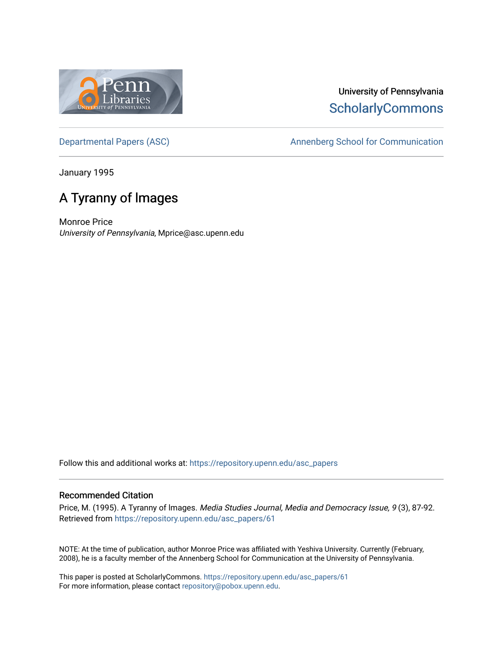

## University of Pennsylvania **ScholarlyCommons**

[Departmental Papers \(ASC\)](https://repository.upenn.edu/asc_papers) and a new Annenberg School for Communication

January 1995

## A Tyranny of lmages

Monroe Price University of Pennsylvania, Mprice@asc.upenn.edu

Follow this and additional works at: [https://repository.upenn.edu/asc\\_papers](https://repository.upenn.edu/asc_papers?utm_source=repository.upenn.edu%2Fasc_papers%2F61&utm_medium=PDF&utm_campaign=PDFCoverPages)

#### Recommended Citation

Price, M. (1995). A Tyranny of lmages. Media Studies Journal, Media and Democracy Issue, 9 (3), 87-92. Retrieved from [https://repository.upenn.edu/asc\\_papers/61](https://repository.upenn.edu/asc_papers/61?utm_source=repository.upenn.edu%2Fasc_papers%2F61&utm_medium=PDF&utm_campaign=PDFCoverPages) 

NOTE: At the time of publication, author Monroe Price was affiliated with Yeshiva University. Currently (February, 2008), he is a faculty member of the Annenberg School for Communication at the University of Pennsylvania.

This paper is posted at ScholarlyCommons. [https://repository.upenn.edu/asc\\_papers/61](https://repository.upenn.edu/asc_papers/61) For more information, please contact [repository@pobox.upenn.edu.](mailto:repository@pobox.upenn.edu)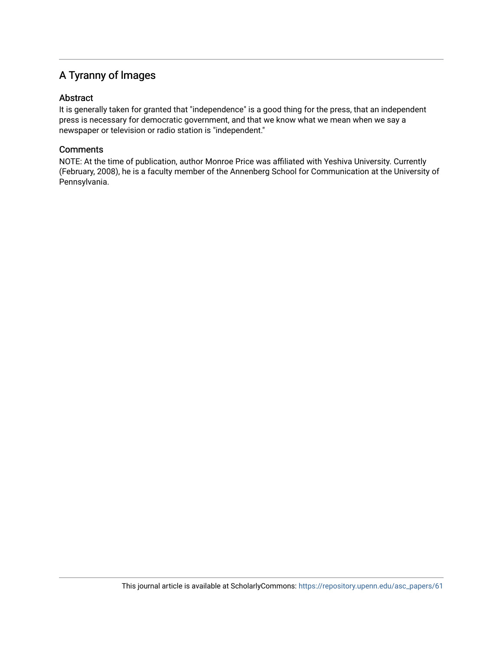### A Tyranny of lmages

#### Abstract

It is generally taken for granted that "independence" is a good thing for the press, that an independent press is necessary for democratic government, and that we know what we mean when we say a newspaper or television or radio station is "independent."

#### **Comments**

NOTE: At the time of publication, author Monroe Price was affiliated with Yeshiva University. Currently (February, 2008), he is a faculty member of the Annenberg School for Communication at the University of Pennsylvania.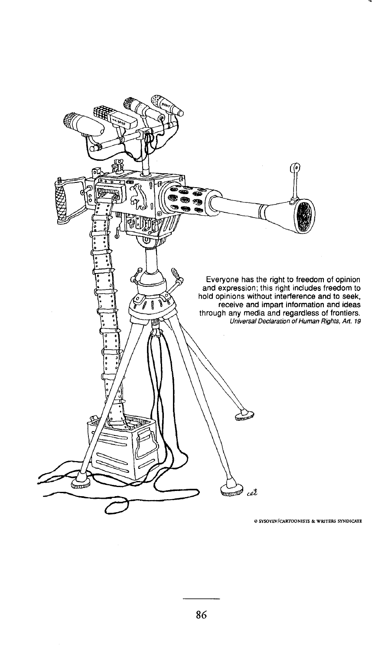

e **SYSOYEV/CAIITOONISTS & WRITERS SYNDICATE**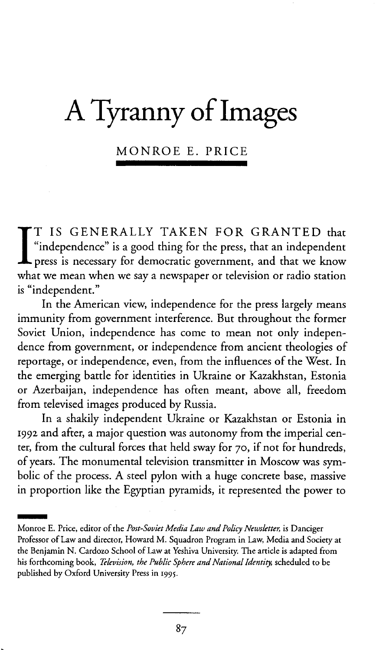# A **Tyranny ofImages**

MONROE E. PRICE

I T IS GENERALLY TAKEN FOR GRANTED that "independence" is a good thing for the press, that an independent press is necessary for democratic government, and that we know what we mean when we say a newspaper or television or radio station is "independent."

**In** the American view, independence for the press largely means immunity from government interference. But throughout the former Soviet Union, independence has come to mean not only independence from government, or independence from ancient theologies of reportage, or independence, even, from the influences of the West. In the emerging battle for identities in Ukraine or Kazakhstan, Estonia or Azerbaijan, independence has often meant, above all, freedom from televised images produced by Russia.

**In** a shakily independent Ukraine or Kazakhstan or Estonia in 1992 and after, a major question was autonomy from the imperial center, from the cultural forces that held sway for 70, if not for hundreds, of years. The monumental television transmitter in Moscow was symbolic of the process. A steel pylon with a huge concrete base, massive in proportion like the Egyptian pyramids, it represented the power to

In proportion like the Egyptian pyramids, it represented the pow<br>
Monroe E. Price, editor of the *Post-Soviet Media Law and Policy Newsletter*, is Danciger<br>
Postpage of Law and discussed *M. Souther Present in Law Media* a Professor of Law and director, Howard M. Squadron Program in Law, Media and Society at the Benjamin N. Cardozo School of Law at Yeshiva University. The article is adapted from his forthcoming book, *Television, the Public Sphere and National Identity,* scheduled to be published by Oxford University Press in 1995.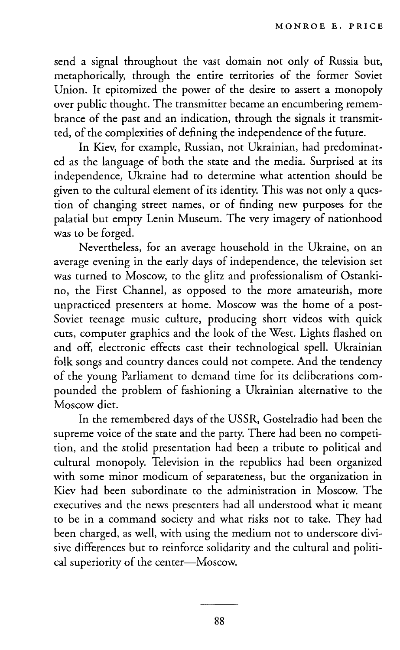send a signal throughout the vast domain not only of Russia but, metaphorically, through the entire territories of the former Soviet Union. It epitomized the power of the desire to assert a monopoly over public thought. The transmitter became an encumbering remembrance of the past and an indication, through the signals it transmitted, of the complexities of defining the independence of the future.

In Kiev, for example, Russian, not Ukrainian, had predominated as the language of both the state and the media. Surprised at its independence, Ukraine had to determine what attention should be given to the cultural element of its identity. This was not only a question of changing street names, or of finding new purposes for the palatial but empty Lenin Museum. The very imagery of nationhood was to be forged.

Nevertheless, for an average household in the Ukraine, on an average evening in the early days of independence, the television set was turned to Moscow, to the glitz and professionalism of Ostankino, the First Channel, as opposed to the more amateurish, more unpracticed presenters at home. Moscow was the home of a post-Soviet teenage music culture, producing short videos with quick cuts, computer graphics and the look of the West. Lights flashed on and off, electronic effects cast their technological spell. Ukrainian folk songs and country dances could not compete. And the tendency of the young Parliament to demand time for its deliberations compounded the problem of fashioning a Ukrainian alternative to the Moscow diet.

In the remembered days of the USSR, Gostelradio had been the supreme voice of the state and the party. There had been no competition, and the stolid presentation had been a tribute to political and cultural monopoly. Television in the republics had been organized with some minor modicum of separateness, but the organization in Kiev had been subordinate to the administration in Moscow. The executives and the news presenters had all understood what it meant to be in a command society and what risks not to take. They had been charged, as well, with using the medium not to underscore divisive differences but to reinforce solidarity and the cultural and political superiority of the center-Moscow.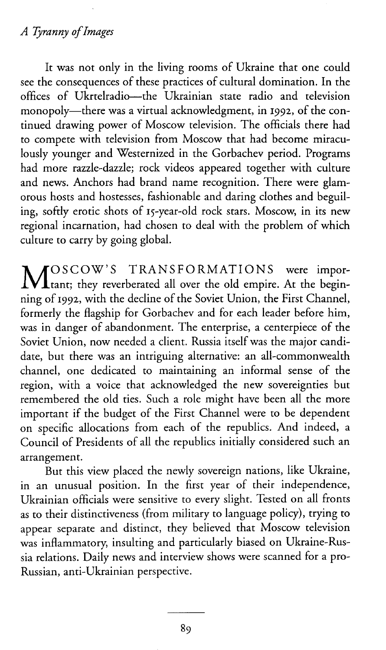#### *A Tyranny ofImages*

It was not only in the living rooms of Ukraine that one could see the consequences of these practices of cultural domination. In the offices of Ukrtelradio-the Ukrainian state radio and television monopoly—there was a virtual acknowledgment, in 1992, of the continued drawing power of Moscow television. The officials there had to compete with television from Moscow that had become miraculously younger and Westernized in the Gorbachev period. Programs had more razzle-dazzle; rock videos appeared together with culture and news. Anchors had brand name recognition. There were glamorous hosts and hostesses, fashionable and daring clothes and beguiling, softly erotic shots of 15-year-old rock stars. Moscow, in its new regional incarnation, had chosen to deal with the problem of which culture to carry by going global.

MOSCOW'S TRANSFORMATIONS were impor-<br>
Itant; they reverberated all over the old empire. At the beginning of 1992, with the decline of the Soviet Union, the First Channel, formerly the flagship for Gorbachev and for each leader before him, was in danger of abandonment. The enterprise, a centerpiece of the Soviet Union, now needed a client. Russia itself was the major candidate, but there was an intriguing alternative: an all-commonwealth channel, one dedicated to maintaining an informal sense of the region, with a voice that acknowledged the new sovereignties but remembered the old ties. Such a role might have been all the more important if the budget of the First Channel were to be dependent on specific allocations from each of the republics. And indeed, a Council of Presidents of all the republics initially considered such an arrangement.

But this view placed the newly sovereign nations, like Ukraine, in an unusual position. In the first year of their independence, Ukrainian officials were sensitive to every slight. Tested on all fronts as to their distinctiveness (from military to language policy), trying to appear separate and distinct, they believed that Moscow television was inflammatory, insulting and particularly biased on Ukraine-Russia relations. Daily news and interview shows were scanned for a pro-Russian, anti-Ukrainian perspective.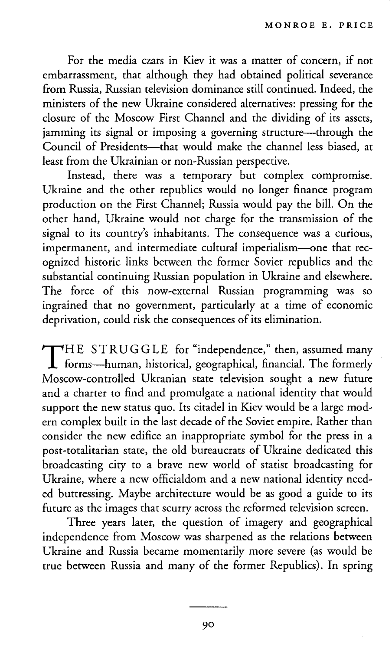For the media czars in Kiev it was a matter of concern, if not embarrassment, that although they had obtained political severance from Russia, Russian television dominance still continued. Indeed, the ministers of the new Ukraine considered alternatives: pressing for the closure of the Moscow First Channel and the dividing of its assets, jamming its signal or imposing a governing structure-through the  $\sum_{\text{Count}}$  of Presidents—that would make the channel less biased, at least from the Ukrainian or non-Russian perspective.

Instead, there was a temporary but complex compromise. Ukraine and the other republics would no longer finance program production on the First Channel; Russia would pay the bill. On the other hand, Ukraine would not charge for the transmission of the signal to its country's inhabitants. The consequence was a curious, impermanent, and intermediate cultural imperialism-one that recognized historic links between the former Soviet republics and the substantial continuing Russian population in Ukraine and elsewhere. The force of this now-external Russian programming was so ingrained that no government, particularly at a time of economic deprivation, could risk the consequences of its elimination.

THE STRUGGLE for "independence," then, assumed many<br>forms-human, historical, geographical, financial. The formerly Moscow-controlled Ukranian state television sought a new future and a charter to find and promulgate a national identity that would support the new status quo. Its citadel in Kiev would be a large modern complex built in the last decade of the Soviet empire. Rather than consider the new edifice an inappropriate symbol for the press in a post-totalitarian state, the old bureaucrats of Ukraine dedicated this broadcasting city to a brave new world of statist broadcasting for Ukraine, where a new officialdom and a new national identity needed buttressing. Maybe architecture would be as good a guide to its future as the images that scurry across the reformed television screen.

Three years later, the question of imagery and geographical independence from Moscow was sharpened as the relations between Ukraine and Russia became momentarily more severe (as would be true between Russia and many of the former Republics). In spring